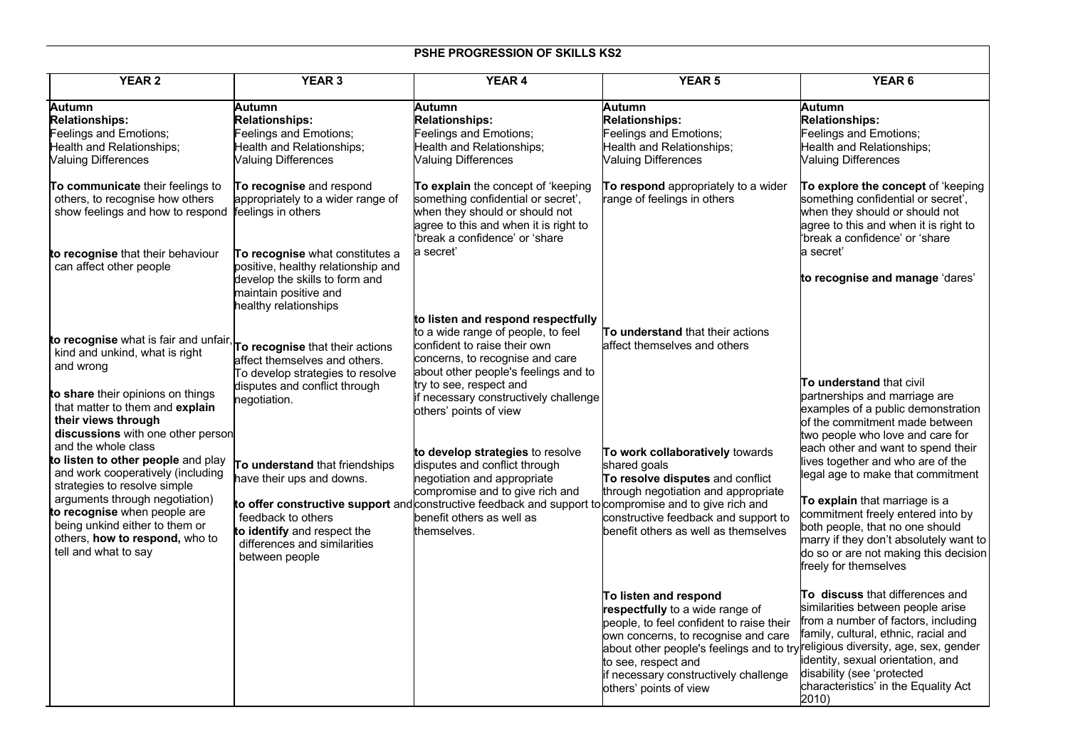## **PSHE PROGRESSION OF SKILLS KS2**

| <b>YEAR 2</b>                                                                                                                                           | <b>YEAR 3</b>                                                                                                                                             | <b>YEAR 4</b>                                                                                                                                                                                                                                 | <b>YEAR 5</b>                                                                                                                                                                                                                                                                                                           | YEAR <sub>6</sub>                                                                                                                                                                                                                                                       |
|---------------------------------------------------------------------------------------------------------------------------------------------------------|-----------------------------------------------------------------------------------------------------------------------------------------------------------|-----------------------------------------------------------------------------------------------------------------------------------------------------------------------------------------------------------------------------------------------|-------------------------------------------------------------------------------------------------------------------------------------------------------------------------------------------------------------------------------------------------------------------------------------------------------------------------|-------------------------------------------------------------------------------------------------------------------------------------------------------------------------------------------------------------------------------------------------------------------------|
| Autumn<br><b>Relationships:</b><br>Feelings and Emotions;<br>Health and Relationships;<br><b>Valuing Differences</b>                                    | Autumn<br><b>Relationships:</b><br>Feelings and Emotions;<br>Health and Relationships;<br><b>Valuing Differences</b>                                      | Autumn<br><b>Relationships:</b><br>Feelings and Emotions;<br>Health and Relationships;<br><b>Valuing Differences</b>                                                                                                                          | Autumn<br><b>Relationships:</b><br>Feelings and Emotions;<br>Health and Relationships;<br><b>Valuing Differences</b>                                                                                                                                                                                                    | <b>Autumn</b><br><b>Relationships:</b><br>Feelings and Emotions;<br>Health and Relationships;<br><b>Valuing Differences</b>                                                                                                                                             |
| To communicate their feelings to<br>others, to recognise how others<br>show feelings and how to respond                                                 | To recognise and respond<br>appropriately to a wider range of<br>feelings in others                                                                       | To explain the concept of 'keeping<br>something confidential or secret',<br>when they should or should not<br>agree to this and when it is right to<br>'break a confidence' or 'share                                                         | To respond appropriately to a wider<br>range of feelings in others                                                                                                                                                                                                                                                      | To explore the concept of 'keeping<br>something confidential or secret',<br>when they should or should not<br>agree to this and when it is right to<br>'break a confidence' or 'share'                                                                                  |
| to recognise that their behaviour<br>can affect other people                                                                                            | To recognise what constitutes a<br>positive, healthy relationship and<br>develop the skills to form and<br>maintain positive and<br>healthy relationships | a secret'                                                                                                                                                                                                                                     |                                                                                                                                                                                                                                                                                                                         | a secret'<br>to recognise and manage 'dares'                                                                                                                                                                                                                            |
| to recognise what is fair and unfair, To recognise that their actions<br>kind and unkind, what is right<br>and wrong                                    | affect themselves and others.<br>To develop strategies to resolve                                                                                         | to listen and respond respectfully<br>to a wide range of people, to feel<br>confident to raise their own<br>concerns, to recognise and care<br>about other people's feelings and to                                                           | <b>To understand</b> that their actions<br>affect themselves and others                                                                                                                                                                                                                                                 | <b>To understand that civil</b>                                                                                                                                                                                                                                         |
| to share their opinions on things<br>that matter to them and explain<br>their views through<br>discussions with one other person<br>and the whole class | disputes and conflict through<br>negotiation.                                                                                                             | try to see, respect and<br>if necessary constructively challenge<br>others' points of view                                                                                                                                                    |                                                                                                                                                                                                                                                                                                                         | partnerships and marriage are<br>examples of a public demonstration<br>of the commitment made between<br>two people who love and care for<br>each other and want to spend their                                                                                         |
| to listen to other people and play<br>and work cooperatively (including<br>strategies to resolve simple<br>arguments through negotiation)               | To understand that friendships<br>have their ups and downs.                                                                                               | to develop strategies to resolve<br>disputes and conflict through<br>negotiation and appropriate<br>compromise and to give rich and<br>to offer constructive support and constructive feedback and support to compromise and to give rich and | To work collaboratively towards<br>shared goals<br>To resolve disputes and conflict<br>through negotiation and appropriate                                                                                                                                                                                              | lives together and who are of the<br>legal age to make that commitment<br><b>To explain</b> that marriage is a                                                                                                                                                          |
| to recognise when people are<br>being unkind either to them or<br>others, how to respond, who to<br>tell and what to say                                | feedback to others<br>to identify and respect the<br>differences and similarities<br>between people                                                       | benefit others as well as<br>themselves.                                                                                                                                                                                                      | constructive feedback and support to<br>benefit others as well as themselves                                                                                                                                                                                                                                            | commitment freely entered into by<br>both people, that no one should<br>marry if they don't absolutely want to<br>do so or are not making this decision<br>freely for themselves                                                                                        |
|                                                                                                                                                         |                                                                                                                                                           |                                                                                                                                                                                                                                               | To listen and respond<br>respectfully to a wide range of<br>people, to feel confident to raise their<br>own concerns, to recognise and care<br>about other people's feelings and to try religious diversity, age, sex, gender<br>to see, respect and<br>if necessary constructively challenge<br>others' points of view | To discuss that differences and<br>similarities between people arise<br>from a number of factors, including<br>family, cultural, ethnic, racial and<br>identity, sexual orientation, and<br>disability (see 'protected<br>characteristics' in the Equality Act<br>2010) |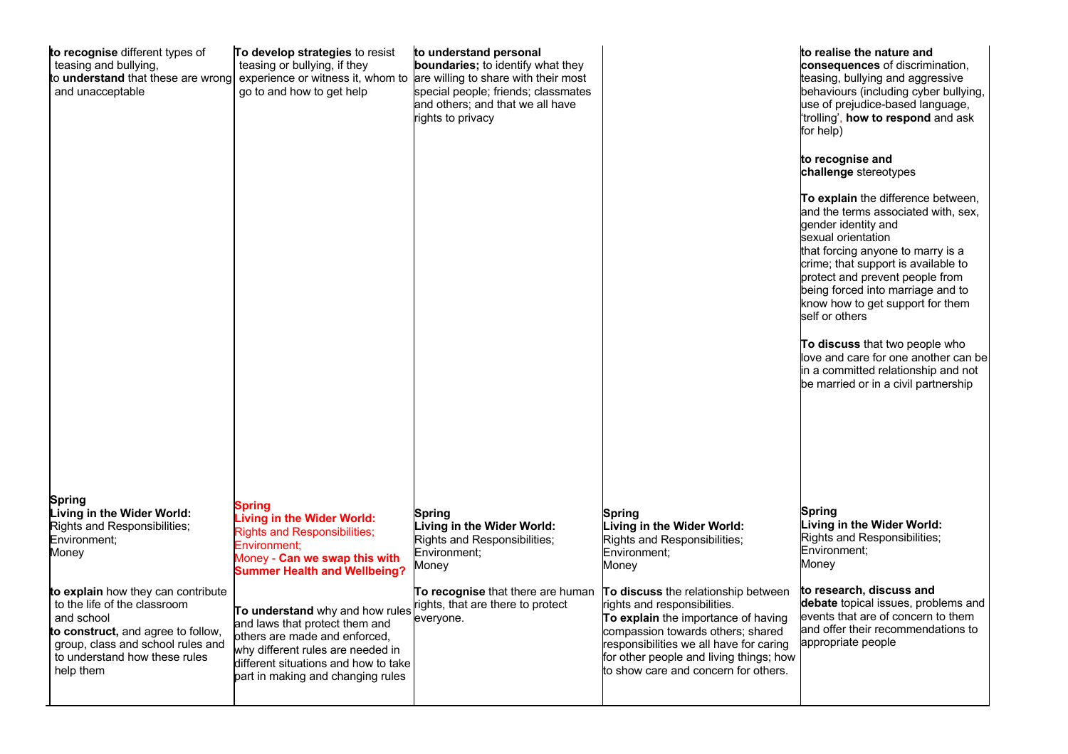| to recognise different types of<br>teasing and bullying,<br>to understand that these are wrong<br>and unacceptable                                                                                        | To develop strategies to resist<br>teasing or bullying, if they<br>experience or witness it, whom to are willing to share with their most<br>go to and how to get help                                               | to understand personal<br>boundaries; to identify what they<br>special people; friends; classmates<br>and others; and that we all have<br>rights to privacy |                                                                                                                                                                                                                                                                               | to realise the nature and<br>consequences of discrimination,<br>teasing, bullying and aggressive<br>behaviours (including cyber bullying,<br>use of prejudice-based language,<br>trolling', how to respond and ask<br>for help)<br>to recognise and<br>challenge stereotypes<br>To explain the difference between,<br>and the terms associated with, sex,<br>gender identity and<br>sexual orientation<br>that forcing anyone to marry is a<br>crime; that support is available to<br>protect and prevent people from<br>being forced into marriage and to<br>know how to get support for them<br>self or others<br>To discuss that two people who<br>love and care for one another can be<br>in a committed relationship and not<br>be married or in a civil partnership |  |
|-----------------------------------------------------------------------------------------------------------------------------------------------------------------------------------------------------------|----------------------------------------------------------------------------------------------------------------------------------------------------------------------------------------------------------------------|-------------------------------------------------------------------------------------------------------------------------------------------------------------|-------------------------------------------------------------------------------------------------------------------------------------------------------------------------------------------------------------------------------------------------------------------------------|---------------------------------------------------------------------------------------------------------------------------------------------------------------------------------------------------------------------------------------------------------------------------------------------------------------------------------------------------------------------------------------------------------------------------------------------------------------------------------------------------------------------------------------------------------------------------------------------------------------------------------------------------------------------------------------------------------------------------------------------------------------------------|--|
| Spring<br>Living in the Wider World:<br>Rights and Responsibilities;<br>Environment;<br>Money                                                                                                             | Spring<br><b>Living in the Wider World:</b><br><b>Rights and Responsibilities;</b><br>Environment:<br>Money - Can we swap this with<br><b>Summer Health and Wellbeing?</b>                                           | Spring<br>Living in the Wider World:<br>Rights and Responsibilities;<br>Environment:<br>Money                                                               | Spring<br>Living in the Wider World:<br>Rights and Responsibilities;<br>Environment:<br>Money                                                                                                                                                                                 | Spring<br>Living in the Wider World:<br>Rights and Responsibilities;<br>Environment:<br>Money                                                                                                                                                                                                                                                                                                                                                                                                                                                                                                                                                                                                                                                                             |  |
| to explain how they can contribute<br>to the life of the classroom<br>and school<br>to construct, and agree to follow,<br>group, class and school rules and<br>to understand how these rules<br>help them | To understand why and how rules<br>and laws that protect them and<br>others are made and enforced,<br>why different rules are needed in<br>different situations and how to take<br>part in making and changing rules | To recognise that there are human<br>rights, that are there to protect<br>everyone.                                                                         | To discuss the relationship between<br>rights and responsibilities.<br>To explain the importance of having<br>compassion towards others; shared<br>responsibilities we all have for caring<br>for other people and living things; how<br>to show care and concern for others. | to research, discuss and<br>debate topical issues, problems and<br>events that are of concern to them<br>and offer their recommendations to<br>appropriate people                                                                                                                                                                                                                                                                                                                                                                                                                                                                                                                                                                                                         |  |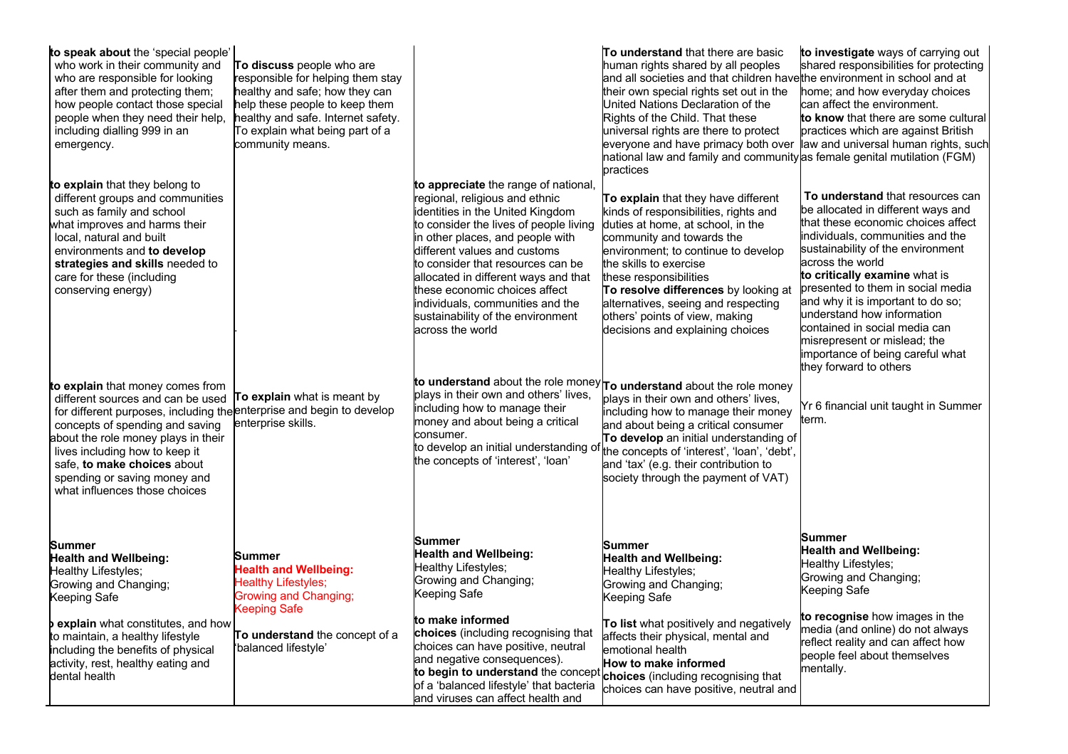| to speak about the 'special people'<br>who work in their community and<br>who are responsible for looking<br>after them and protecting them;<br>how people contact those special<br>people when they need their help,<br>including dialling 999 in an<br>emergency.                                                                                        | To discuss people who are<br>responsible for helping them stay<br>healthy and safe; how they can<br>help these people to keep them<br>healthy and safe. Internet safety.<br>To explain what being part of a<br>community means. |                                                                                                                                                                                                                                                                                                                                                                                                                                     | To understand that there are basic<br>human rights shared by all peoples<br>and all societies and that children have the environment in school and at<br>their own special rights set out in the<br>United Nations Declaration of the<br>Rights of the Child. That these<br>universal rights are there to protect<br>everyone and have primacy both over<br>national law and family and community as female genital mutilation (FGM)<br>practices | to investigate ways of carrying out<br>shared responsibilities for protecting<br>home; and how everyday choices<br>can affect the environment.<br>to know that there are some cultural<br>practices which are against British<br>law and universal human rights, such                                                                                                                                                                                                             |
|------------------------------------------------------------------------------------------------------------------------------------------------------------------------------------------------------------------------------------------------------------------------------------------------------------------------------------------------------------|---------------------------------------------------------------------------------------------------------------------------------------------------------------------------------------------------------------------------------|-------------------------------------------------------------------------------------------------------------------------------------------------------------------------------------------------------------------------------------------------------------------------------------------------------------------------------------------------------------------------------------------------------------------------------------|---------------------------------------------------------------------------------------------------------------------------------------------------------------------------------------------------------------------------------------------------------------------------------------------------------------------------------------------------------------------------------------------------------------------------------------------------|-----------------------------------------------------------------------------------------------------------------------------------------------------------------------------------------------------------------------------------------------------------------------------------------------------------------------------------------------------------------------------------------------------------------------------------------------------------------------------------|
| to explain that they belong to<br>different groups and communities<br>such as family and school<br>what improves and harms their<br>local, natural and built<br>environments and to develop<br>strategies and skills needed to<br>care for these (including<br>conserving energy)                                                                          |                                                                                                                                                                                                                                 | to appreciate the range of national,<br>regional, religious and ethnic<br>identities in the United Kingdom<br>to consider the lives of people living<br>in other places, and people with<br>different values and customs<br>to consider that resources can be<br>allocated in different ways and that<br>these economic choices affect<br>individuals, communities and the<br>sustainability of the environment<br>across the world | To explain that they have different<br>kinds of responsibilities, rights and<br>duties at home, at school, in the<br>community and towards the<br>environment; to continue to develop<br>the skills to exercise<br>these responsibilities<br>To resolve differences by looking at<br>alternatives, seeing and respecting<br>others' points of view, making<br>decisions and explaining choices                                                    | To understand that resources can<br>be allocated in different ways and<br>that these economic choices affect<br>individuals, communities and the<br>sustainability of the environment<br>across the world<br>to critically examine what is<br>presented to them in social media<br>and why it is important to do so;<br>understand how information<br>contained in social media can<br>misrepresent or mislead; the<br>importance of being careful what<br>they forward to others |
| to explain that money comes from<br>different sources and can be used<br>for different purposes, including the enterprise and begin to develop<br>concepts of spending and saving<br>about the role money plays in their<br>lives including how to keep it<br>safe, to make choices about<br>spending or saving money and<br>what influences those choices | To explain what is meant by<br>enterprise skills.                                                                                                                                                                               | plays in their own and others' lives,<br>including how to manage their<br>money and about being a critical<br>consumer.<br>to develop an initial understanding of<br>the concepts of 'interest', 'loan'                                                                                                                                                                                                                             | to understand about the role money To understand about the role money<br>plays in their own and others' lives,<br>including how to manage their money<br>and about being a critical consumer<br>To develop an initial understanding of<br>the concepts of 'interest', 'loan', 'debt',<br>and 'tax' (e.g. their contribution to<br>society through the payment of VAT)                                                                             | Yr 6 financial unit taught in Summer<br>term.                                                                                                                                                                                                                                                                                                                                                                                                                                     |
| Summer<br><b>Health and Wellbeing:</b><br>Healthy Lifestyles;<br>Growing and Changing;<br>Keeping Safe                                                                                                                                                                                                                                                     | Summer<br><b>Health and Wellbeing:</b><br><b>Healthy Lifestyles;</b><br><b>Growing and Changing;</b>                                                                                                                            | Summer<br><b>Health and Wellbeing:</b><br>Healthy Lifestyles;<br>Growing and Changing;<br>Keeping Safe                                                                                                                                                                                                                                                                                                                              | <b>Summer</b><br><b>Health and Wellbeing:</b><br>Healthy Lifestyles;<br>Growing and Changing;<br>Keeping Safe                                                                                                                                                                                                                                                                                                                                     | Summer<br><b>Health and Wellbeing:</b><br>Healthy Lifestyles;<br>Growing and Changing;<br>Keeping Safe                                                                                                                                                                                                                                                                                                                                                                            |
| <b>Pexplain</b> what constitutes, and how<br>to maintain, a healthy lifestyle<br>including the benefits of physical<br>activity, rest, healthy eating and<br>dental health                                                                                                                                                                                 | <b>Keeping Safe</b><br>To understand the concept of a<br>'balanced lifestyle'                                                                                                                                                   | to make informed<br>choices (including recognising that<br>choices can have positive, neutral<br>and negative consequences).<br>to begin to understand the concept choices (including recognising that<br>of a 'balanced lifestyle' that bacteria<br>and viruses can affect health and                                                                                                                                              | To list what positively and negatively<br>affects their physical, mental and<br>emotional health<br>How to make informed<br>choices can have positive, neutral and                                                                                                                                                                                                                                                                                | to recognise how images in the<br>media (and online) do not always<br>reflect reality and can affect how<br>people feel about themselves<br>mentally.                                                                                                                                                                                                                                                                                                                             |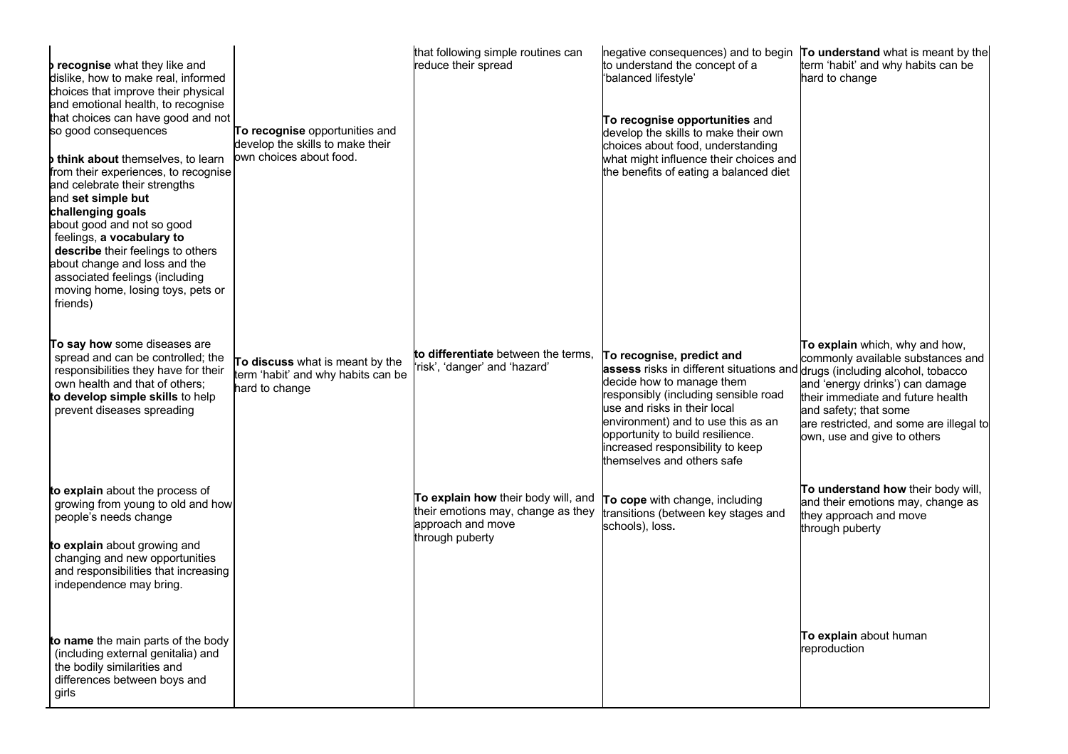| recognise what they like and<br>dislike, how to make real, informed<br>choices that improve their physical<br>and emotional health, to recognise<br>that choices can have good and not<br>so good consequences<br><b>b think about</b> themselves, to learn<br>from their experiences, to recognise<br>and celebrate their strengths<br>and set simple but<br>challenging goals<br>about good and not so good<br>feelings, a vocabulary to<br>describe their feelings to others<br>about change and loss and the<br>associated feelings (including<br>moving home, losing toys, pets or<br>friends) | To recognise opportunities and<br>develop the skills to make their<br>own choices about food. | that following simple routines can<br>reduce their spread                                                         | negative consequences) and to begin To understand what is meant by the<br>to understand the concept of a<br>'balanced lifestyle'<br>To recognise opportunities and<br>develop the skills to make their own<br>choices about food, understanding<br>what might influence their choices and<br>the benefits of eating a balanced diet                      | term 'habit' and why habits can be<br>hard to change                                                                                                                                                                                           |
|-----------------------------------------------------------------------------------------------------------------------------------------------------------------------------------------------------------------------------------------------------------------------------------------------------------------------------------------------------------------------------------------------------------------------------------------------------------------------------------------------------------------------------------------------------------------------------------------------------|-----------------------------------------------------------------------------------------------|-------------------------------------------------------------------------------------------------------------------|----------------------------------------------------------------------------------------------------------------------------------------------------------------------------------------------------------------------------------------------------------------------------------------------------------------------------------------------------------|------------------------------------------------------------------------------------------------------------------------------------------------------------------------------------------------------------------------------------------------|
| To say how some diseases are<br>spread and can be controlled; the<br>responsibilities they have for their<br>own health and that of others;<br>to develop simple skills to help<br>prevent diseases spreading                                                                                                                                                                                                                                                                                                                                                                                       | To discuss what is meant by the<br>term 'habit' and why habits can be<br>hard to change       | to differentiate between the terms,<br>'risk', 'danger' and 'hazard'                                              | To recognise, predict and<br>assess risks in different situations and drugs (including alcohol, tobacco<br>decide how to manage them<br>responsibly (including sensible road<br>use and risks in their local<br>environment) and to use this as an<br>opportunity to build resilience.<br>increased responsibility to keep<br>themselves and others safe | To explain which, why and how,<br>commonly available substances and<br>and 'energy drinks') can damage<br>their immediate and future health<br>and safety; that some<br>are restricted, and some are illegal to<br>own, use and give to others |
| to explain about the process of<br>growing from young to old and how<br>people's needs change<br>to explain about growing and<br>changing and new opportunities<br>and responsibilities that increasing<br>independence may bring.                                                                                                                                                                                                                                                                                                                                                                  |                                                                                               | To explain how their body will, and<br>their emotions may, change as they<br>approach and move<br>through puberty | To cope with change, including<br>transitions (between key stages and<br>schools), loss.                                                                                                                                                                                                                                                                 | To understand how their body will,<br>and their emotions may, change as<br>they approach and move<br>through puberty                                                                                                                           |
| to name the main parts of the body<br>(including external genitalia) and<br>the bodily similarities and<br>differences between boys and<br>girls                                                                                                                                                                                                                                                                                                                                                                                                                                                    |                                                                                               |                                                                                                                   |                                                                                                                                                                                                                                                                                                                                                          | To explain about human<br>reproduction                                                                                                                                                                                                         |